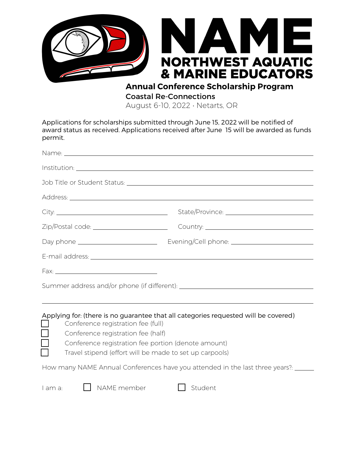

**Annual Conference Scholarship Program** Coastal Re-Connections

August 6-10, 2022 • Netarts, OR

Applications for scholarships submitted through June 15, 2022 will be notified of award status as received. Applications received after June 15 will be awarded as funds permit.

| Conference registration fee (full)<br>$\Box$<br>Conference registration fee (half)<br>$\Box$ | Applying for: (there is no guarantee that all categories requested will be covered)<br>Conference registration fee portion (denote amount)<br>Travel stipend (effort will be made to set up carpools) |
|----------------------------------------------------------------------------------------------|-------------------------------------------------------------------------------------------------------------------------------------------------------------------------------------------------------|
|                                                                                              | How many NAME Annual Conferences have you attended in the last three years?: _____                                                                                                                    |
| $\Box$ NAME member<br>l am a:                                                                | Student                                                                                                                                                                                               |